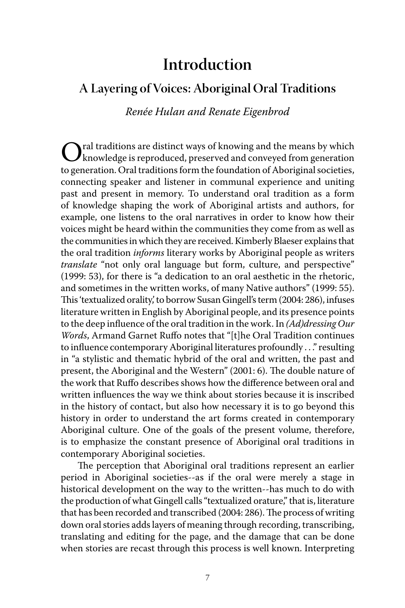## **Introduction**

## **A Layering of Voices: Aboriginal Oral Traditions**

*Renée Hulan and Renate Eigenbrod*

Oral traditions are distinct ways of knowing and the means by which knowledge is reproduced, preserved and conveyed from generation to generation. Oral traditions form the foundation of Aboriginal societies, connecting speaker and listener in communal experience and uniting past and present in memory. To understand oral tradition as a form of knowledge shaping the work of Aboriginal artists and authors, for example, one listens to the oral narratives in order to know how their voices might be heard within the communities they come from as well as the communities in which they are received. Kimberly Blaeser explains that the oral tradition *informs* literary works by Aboriginal people as writers *translate* "not only oral language but form, culture, and perspective" (1999: 53), for there is "a dedication to an oral aesthetic in the rhetoric, and sometimes in the written works, of many Native authors" (1999: 55). This 'textualized orality', to borrow Susan Gingell's term (2004: 286), infuses literature written in English by Aboriginal people, and its presence points to the deep influence of the oral tradition in the work. In *(Ad)dressing Our Words*, Armand Garnet Ruffo notes that "[t]he Oral Tradition continues to influence contemporary Aboriginal literatures profoundly . . ." resulting in "a stylistic and thematic hybrid of the oral and written, the past and present, the Aboriginal and the Western" (2001: 6). The double nature of the work that Ruffo describes shows how the difference between oral and written influences the way we think about stories because it is inscribed in the history of contact, but also how necessary it is to go beyond this history in order to understand the art forms created in contemporary Aboriginal culture. One of the goals of the present volume, therefore, is to emphasize the constant presence of Aboriginal oral traditions in contemporary Aboriginal societies.

The perception that Aboriginal oral traditions represent an earlier period in Aboriginal societies--as if the oral were merely a stage in historical development on the way to the written--has much to do with the production of what Gingell calls "textualized orature," that is, literature that has been recorded and transcribed (2004: 286). The process of writing down oral stories adds layers of meaning through recording, transcribing, translating and editing for the page, and the damage that can be done when stories are recast through this process is well known. Interpreting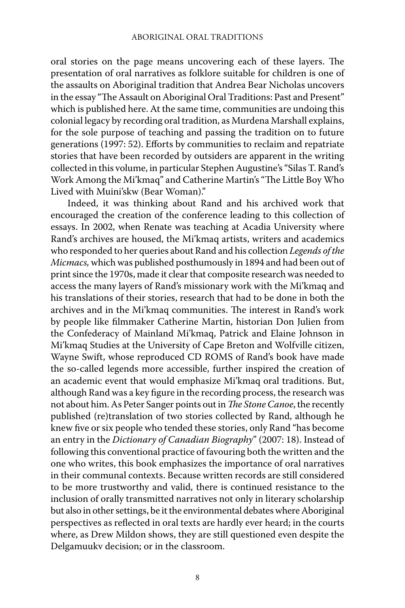oral stories on the page means uncovering each of these layers. The presentation of oral narratives as folklore suitable for children is one of the assaults on Aboriginal tradition that Andrea Bear Nicholas uncovers in the essay "The Assault on Aboriginal Oral Traditions: Past and Present" which is published here. At the same time, communities are undoing this colonial legacy by recording oral tradition, as Murdena Marshall explains, for the sole purpose of teaching and passing the tradition on to future generations (1997: 52). Efforts by communities to reclaim and repatriate stories that have been recorded by outsiders are apparent in the writing collected in this volume, in particular Stephen Augustine's "Silas T. Rand's Work Among the Mi'kmaq" and Catherine Martin's "The Little Boy Who Lived with Muini'skw (Bear Woman)."

 Indeed, it was thinking about Rand and his archived work that encouraged the creation of the conference leading to this collection of essays. In 2002, when Renate was teaching at Acadia University where Rand's archives are housed, the Mi'kmaq artists, writers and academics who responded to her queries about Rand and his collection *Legends of the Micmacs,* which was published posthumously in 1894 and had been out of print since the 1970s, made it clear that composite research was needed to access the many layers of Rand's missionary work with the Mi'kmaq and his translations of their stories, research that had to be done in both the archives and in the Mi'kmaq communities. The interest in Rand's work by people like filmmaker Catherine Martin, historian Don Julien from the Confederacy of Mainland Mi'kmaq, Patrick and Elaine Johnson in Mi'kmaq Studies at the University of Cape Breton and Wolfville citizen, Wayne Swift, whose reproduced CD ROMS of Rand's book have made the so-called legends more accessible, further inspired the creation of an academic event that would emphasize Mi'kmaq oral traditions. But, although Rand was a key figure in the recording process, the research was not about him. As Peter Sanger points out in *The Stone Canoe*, the recently published (re)translation of two stories collected by Rand, although he knew five or six people who tended these stories, only Rand "has become an entry in the *Dictionary of Canadian Biography*" (2007: 18). Instead of following this conventional practice of favouring both the written and the one who writes, this book emphasizes the importance of oral narratives in their communal contexts. Because written records are still considered to be more trustworthy and valid, there is continued resistance to the inclusion of orally transmitted narratives not only in literary scholarship but also in other settings, be it the environmental debates where Aboriginal perspectives as reflected in oral texts are hardly ever heard; in the courts where, as Drew Mildon shows, they are still questioned even despite the Delgamuukv decision; or in the classroom.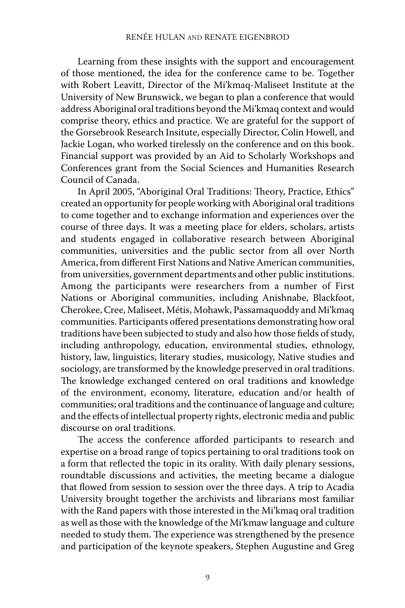Learning from these insights with the support and encouragement of those mentioned, the idea for the conference came to be. Together with Robert Leavitt, Director of the Mi'kmaq-Maliseet Institute at the University of New Brunswick, we began to plan a conference that would address Aboriginal oral traditions beyond the Mi'kmaq context and would comprise theory, ethics and practice. We are grateful for the support of the Gorsebrook Research Insitute, especially Director, Colin Howell, and Jackie Logan, who worked tirelessly on the conference and on this book. Financial support was provided by an Aid to Scholarly Workshops and Conferences grant from the Social Sciences and Humanities Research Council of Canada.

In April 2005, "Aboriginal Oral Traditions: Theory, Practice, Ethics" created an opportunity for people working with Aboriginal oral traditions to come together and to exchange information and experiences over the course of three days. It was a meeting place for elders, scholars, artists and students engaged in collaborative research between Aboriginal communities, universities and the public sector from all over North America, from different First Nations and Native American communities, from universities, government departments and other public institutions. Among the participants were researchers from a number of First Nations or Aboriginal communities, including Anishnabe, Blackfoot, Cherokee, Cree, Maliseet, Métis, Mohawk, Passamaquoddy and Mi'kmaq communities. Participants offered presentations demonstrating how oral traditions have been subjected to study and also how those fields of study, including anthropology, education, environmental studies, ethnology, history, law, linguistics, literary studies, musicology, Native studies and sociology, are transformed by the knowledge preserved in oral traditions. The knowledge exchanged centered on oral traditions and knowledge of the environment, economy, literature, education and/or health of communities; oral traditions and the continuance of language and culture; and the effects of intellectual property rights, electronic media and public discourse on oral traditions.

The access the conference afforded participants to research and expertise on a broad range of topics pertaining to oral traditions took on a form that reflected the topic in its orality. With daily plenary sessions, roundtable discussions and activities, the meeting became a dialogue that flowed from session to session over the three days. A trip to Acadia University brought together the archivists and librarians most familiar with the Rand papers with those interested in the Mi'kmaq oral tradition as well as those with the knowledge of the Mi'kmaw language and culture needed to study them. The experience was strengthened by the presence and participation of the keynote speakers, Stephen Augustine and Greg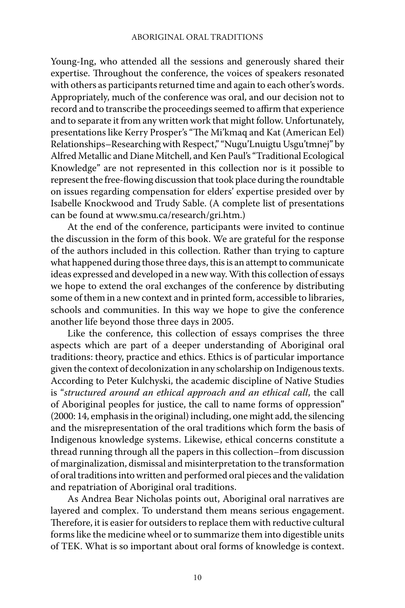Young-Ing, who attended all the sessions and generously shared their expertise. Throughout the conference, the voices of speakers resonated with others as participants returned time and again to each other's words. Appropriately, much of the conference was oral, and our decision not to record and to transcribe the proceedings seemed to affirm that experience and to separate it from any written work that might follow. Unfortunately, presentations like Kerry Prosper's "The Mi'kmaq and Kat (American Eel) Relationships–Researching with Respect," "Nugu'Lnuigtu Usgu'tmnej" by Alfred Metallic and Diane Mitchell, and Ken Paul's "Traditional Ecological Knowledge" are not represented in this collection nor is it possible to represent the free-flowing discussion that took place during the roundtable on issues regarding compensation for elders' expertise presided over by Isabelle Knockwood and Trudy Sable. (A complete list of presentations can be found at www.smu.ca/research/gri.htm.)

 At the end of the conference, participants were invited to continue the discussion in the form of this book. We are grateful for the response of the authors included in this collection. Rather than trying to capture what happened during those three days, this is an attempt to communicate ideas expressed and developed in a new way. With this collection of essays we hope to extend the oral exchanges of the conference by distributing some of them in a new context and in printed form, accessible to libraries, schools and communities. In this way we hope to give the conference another life beyond those three days in 2005.

 Like the conference, this collection of essays comprises the three aspects which are part of a deeper understanding of Aboriginal oral traditions: theory, practice and ethics. Ethics is of particular importance given the context of decolonization in any scholarship on Indigenous texts. According to Peter Kulchyski, the academic discipline of Native Studies is "*structured around an ethical approach and an ethical call*, the call of Aboriginal peoples for justice, the call to name forms of oppression" (2000: 14, emphasis in the original) including, one might add, the silencing and the misrepresentation of the oral traditions which form the basis of Indigenous knowledge systems. Likewise, ethical concerns constitute a thread running through all the papers in this collection–from discussion of marginalization, dismissal and misinterpretation to the transformation of oral traditions into written and performed oral pieces and the validation and repatriation of Aboriginal oral traditions.

 As Andrea Bear Nicholas points out, Aboriginal oral narratives are layered and complex. To understand them means serious engagement. Therefore, it is easier for outsiders to replace them with reductive cultural forms like the medicine wheel or to summarize them into digestible units of TEK. What is so important about oral forms of knowledge is context.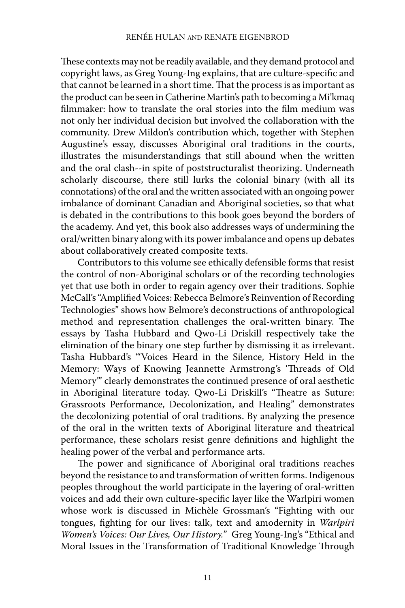These contexts may not be readily available, and they demand protocol and copyright laws, as Greg Young-Ing explains, that are culture-specific and that cannot be learned in a short time. That the process is as important as the product can be seen in Catherine Martin's path to becoming a Mi'kmaq filmmaker: how to translate the oral stories into the film medium was not only her individual decision but involved the collaboration with the community. Drew Mildon's contribution which, together with Stephen Augustine's essay, discusses Aboriginal oral traditions in the courts, illustrates the misunderstandings that still abound when the written and the oral clash--in spite of poststructuralist theorizing. Underneath scholarly discourse, there still lurks the colonial binary (with all its connotations) of the oral and the written associated with an ongoing power imbalance of dominant Canadian and Aboriginal societies, so that what is debated in the contributions to this book goes beyond the borders of the academy. And yet, this book also addresses ways of undermining the oral/written binary along with its power imbalance and opens up debates about collaboratively created composite texts.

 Contributors to this volume see ethically defensible forms that resist the control of non-Aboriginal scholars or of the recording technologies yet that use both in order to regain agency over their traditions. Sophie McCall's "Amplified Voices: Rebecca Belmore's Reinvention of Recording Technologies" shows how Belmore's deconstructions of anthropological method and representation challenges the oral-written binary. The essays by Tasha Hubbard and Qwo-Li Driskill respectively take the elimination of the binary one step further by dismissing it as irrelevant. Tasha Hubbard's "'Voices Heard in the Silence, History Held in the Memory: Ways of Knowing Jeannette Armstrong's 'Threads of Old Memory'" clearly demonstrates the continued presence of oral aesthetic in Aboriginal literature today. Qwo-Li Driskill's "Theatre as Suture: Grassroots Performance, Decolonization, and Healing" demonstrates the decolonizing potential of oral traditions. By analyzing the presence of the oral in the written texts of Aboriginal literature and theatrical performance, these scholars resist genre definitions and highlight the healing power of the verbal and performance arts.

The power and significance of Aboriginal oral traditions reaches beyond the resistance to and transformation of written forms. Indigenous peoples throughout the world participate in the layering of oral-written voices and add their own culture-specific layer like the Warlpiri women whose work is discussed in Michèle Grossman's "Fighting with our tongues, fighting for our lives: talk, text and amodernity in *Warlpiri Women's Voices: Our Lives, Our History.*" Greg Young-Ing's "Ethical and Moral Issues in the Transformation of Traditional Knowledge Through